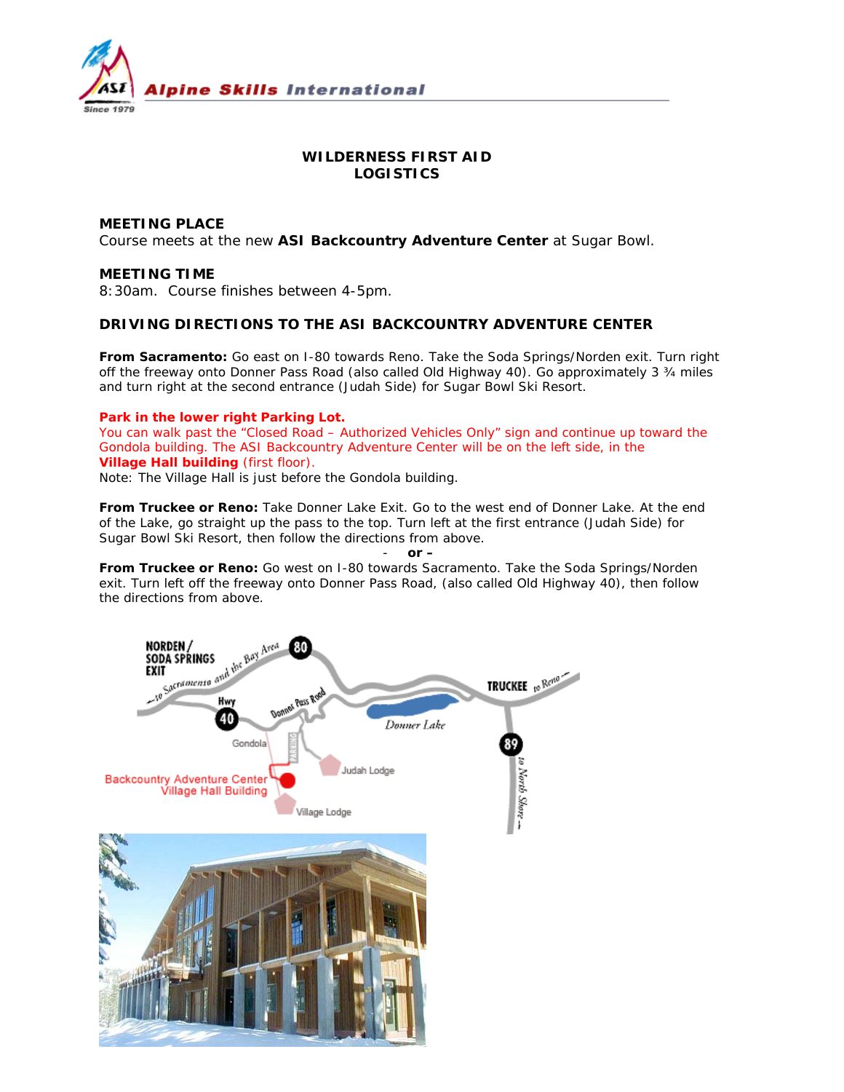

# **WILDERNESS FIRST AID LOGISTICS**

## **MEETING PLACE**

Course meets at the new **ASI Backcountry Adventure Center** at Sugar Bowl.

#### **MEETING TIME**

8:30am. Course finishes between 4-5pm.

#### **DRIVING DIRECTIONS TO THE ASI BACKCOUNTRY ADVENTURE CENTER**

**From Sacramento:** Go east on I-80 towards Reno. Take the Soda Springs/Norden exit. Turn right off the freeway onto Donner Pass Road (also called Old Highway 40). Go approximately 3 ¾ miles and turn right at the second entrance (Judah Side) for Sugar Bowl Ski Resort.

#### **Park in the lower right Parking Lot.**

You can walk past the "Closed Road – Authorized Vehicles Only" sign and continue up toward the Gondola building. The ASI Backcountry Adventure Center will be on the left side, in the **Village Hall building** (first floor).

*Note: The Village Hall is just before the Gondola building.* 

**From Truckee or Reno:** Take Donner Lake Exit. Go to the west end of Donner Lake. At the end of the Lake, go straight up the pass to the top. Turn left at the first entrance (Judah Side) for Sugar Bowl Ski Resort, then follow the directions from above.

#### - *or –*

**From Truckee or Reno:** Go west on I-80 towards Sacramento. Take the Soda Springs/Norden exit. Turn left off the freeway onto Donner Pass Road, (also called Old Highway 40), then follow the directions from above.